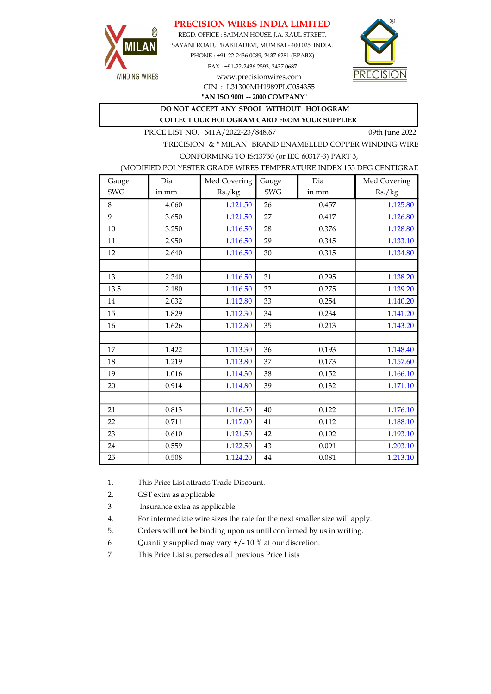## PRECISION WIRES INDIA LIMITED



REGD. OFFICE : SAIMAN HOUSE, J.A. RAUL STREET, SAYANI ROAD, PRABHADEVI, MUMBAI - 400 025. INDIA. PHONE : +91-22-2436 0089, 2437 6281 (EPABX) FAX : +91-22-2436 2593, 2437 0687 www.precisionwires.com



"AN ISO 9001 -- 2000 COMPANY" CIN : L31300MH1989PLC054355

DO NOT ACCEPT ANY SPOOL WITHOUT HOLOGRAM

COLLECT OUR HOLOGRAM CARD FROM YOUR SUPPLIER

PRICE LIST NO. 641A/2022-23/848.67 09th June 2022

"PRECISION" & " MILAN" BRAND ENAMELLED COPPER WINDING WIRE CONFORMING TO IS:13730 (or IEC 60317-3) PART 3,

### (MODIFIED POLYESTER GRADE WIRES TEMPERATURE INDEX 155 DEG CENTIGRAD

| Gauge      | Dia   | Med Covering | Gauge      | Dia   | Med Covering |
|------------|-------|--------------|------------|-------|--------------|
| <b>SWG</b> | in mm | Rs./kg       | <b>SWG</b> | in mm | Rs./kg       |
| 8          | 4.060 | 1,121.50     | 26         | 0.457 | 1,125.80     |
| 9          | 3.650 | 1,121.50     | 27         | 0.417 | 1,126.80     |
| 10         | 3.250 | 1,116.50     | 28         | 0.376 | 1,128.80     |
| 11         | 2.950 | 1,116.50     | 29         | 0.345 | 1,133.10     |
| 12         | 2.640 | 1,116.50     | 30         | 0.315 | 1,134.80     |
|            |       |              |            |       |              |
| 13         | 2.340 | 1,116.50     | 31         | 0.295 | 1,138.20     |
| 13.5       | 2.180 | 1,116.50     | 32         | 0.275 | 1,139.20     |
| 14         | 2.032 | 1,112.80     | 33         | 0.254 | 1,140.20     |
| 15         | 1.829 | 1,112.30     | 34         | 0.234 | 1,141.20     |
| 16         | 1.626 | 1,112.80     | 35         | 0.213 | 1,143.20     |
|            |       |              |            |       |              |
| 17         | 1.422 | 1,113.30     | 36         | 0.193 | 1,148.40     |
| 18         | 1.219 | 1,113.80     | 37         | 0.173 | 1,157.60     |
| 19         | 1.016 | 1,114.30     | 38         | 0.152 | 1,166.10     |
| 20         | 0.914 | 1,114.80     | 39         | 0.132 | 1,171.10     |
|            |       |              |            |       |              |
| 21         | 0.813 | 1,116.50     | 40         | 0.122 | 1,176.10     |
| 22         | 0.711 | 1,117.00     | 41         | 0.112 | 1,188.10     |
| 23         | 0.610 | 1,121.50     | 42         | 0.102 | 1,193.10     |
| 24         | 0.559 | 1,122.50     | 43         | 0.091 | 1,203.10     |
| 25         | 0.508 | 1,124.20     | 44         | 0.081 | 1,213.10     |

1. This Price List attracts Trade Discount.

2. GST extra as applicable

3 Insurance extra as applicable.

4. For intermediate wire sizes the rate for the next smaller size will apply.

5. Orders will not be binding upon us until confirmed by us in writing.

6 Quantity supplied may vary +/- 10 % at our discretion.

7 This Price List supersedes all previous Price Lists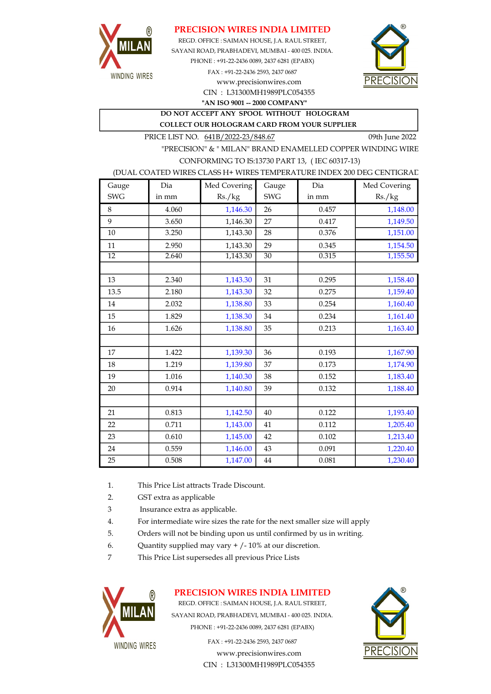

## PRECISION WIRES INDIA LIMITED

REGD. OFFICE : SAIMAN HOUSE, J.A. RAUL STREET, SAYANI ROAD, PRABHADEVI, MUMBAI - 400 025. INDIA. PHONE : +91-22-2436 0089, 2437 6281 (EPABX) FAX : +91-22-2436 2593, 2437 0687 www.precisionwires.com



CIN : L31300MH1989PLC054355 "AN ISO 9001 -- 2000 COMPANY"

DO NOT ACCEPT ANY SPOOL WITHOUT HOLOGRAM COLLECT OUR HOLOGRAM CARD FROM YOUR SUPPLIER

PRICE LIST NO. 641B/2022-23/848.67 09th June 2022

"PRECISION" & " MILAN" BRAND ENAMELLED COPPER WINDING WIRE CONFORMING TO IS:13730 PART 13, ( IEC 60317-13)

#### (DUAL COATED WIRES CLASS H+ WIRES TEMPERATURE INDEX 200 DEG CENTIGRAD

| Gauge           | Dia   | Med Covering | Gauge           | Dia   | Med Covering |
|-----------------|-------|--------------|-----------------|-------|--------------|
| <b>SWG</b>      | in mm | Rs./kg       | <b>SWG</b>      | in mm | Rs./kg       |
| 8               | 4.060 | 1,146.30     | 26              | 0.457 | 1,148.00     |
| 9               | 3.650 | 1,146.30     | 27              | 0.417 | 1,149.50     |
| 10              | 3.250 | 1,143.30     | 28              | 0.376 | 1,151.00     |
| 11              | 2.950 | 1,143.30     | 29              | 0.345 | 1,154.50     |
| $\overline{12}$ | 2.640 | 1,143.30     | $\overline{30}$ | 0.315 | 1,155.50     |
|                 |       |              |                 |       |              |
| 13              | 2.340 | 1,143.30     | 31              | 0.295 | 1,158.40     |
| 13.5            | 2.180 | 1,143.30     | 32              | 0.275 | 1,159.40     |
| 14              | 2.032 | 1,138.80     | 33              | 0.254 | 1,160.40     |
| 15              | 1.829 | 1,138.30     | 34              | 0.234 | 1,161.40     |
| 16              | 1.626 | 1,138.80     | 35              | 0.213 | 1,163.40     |
|                 |       |              |                 |       |              |
| 17              | 1.422 | 1,139.30     | 36              | 0.193 | 1,167.90     |
| 18              | 1.219 | 1,139.80     | 37              | 0.173 | 1,174.90     |
| 19              | 1.016 | 1,140.30     | 38              | 0.152 | 1,183.40     |
| 20              | 0.914 | 1,140.80     | 39              | 0.132 | 1,188.40     |
|                 |       |              |                 |       |              |
| 21              | 0.813 | 1,142.50     | 40              | 0.122 | 1,193.40     |
| 22              | 0.711 | 1,143.00     | 41              | 0.112 | 1,205.40     |
| 23              | 0.610 | 1,145.00     | 42              | 0.102 | 1,213.40     |
| 24              | 0.559 | 1,146.00     | 43              | 0.091 | 1,220.40     |
| 25              | 0.508 | 1,147.00     | 44              | 0.081 | 1,230.40     |

- 1. This Price List attracts Trade Discount.
- 2. GST extra as applicable
- 3 Insurance extra as applicable.
- 4. For intermediate wire sizes the rate for the next smaller size will apply
- 5. Orders will not be binding upon us until confirmed by us in writing.
- 6. Quantity supplied may vary  $+/-10\%$  at our discretion.
- 7 This Price List supersedes all previous Price Lists



## PRECISION WIRES INDIA LIMITED

REGD. OFFICE : SAIMAN HOUSE, J.A. RAUL STREET, SAYANI ROAD, PRABHADEVI, MUMBAI - 400 025. INDIA. PHONE : +91-22-2436 0089, 2437 6281 (EPABX)

> www.precisionwires.com CIN : L31300MH1989PLC054355 FAX : +91-22-2436 2593, 2437 0687